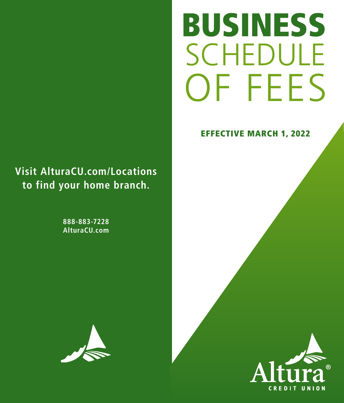# **SCHEDULE** OF FEES BUSINESS

# EFFECTIVE MARCH 1, 2022

# **Visit AlturaCU.com/Locations to find your home branch.**

**888-883-7228 AlturaCU.com**